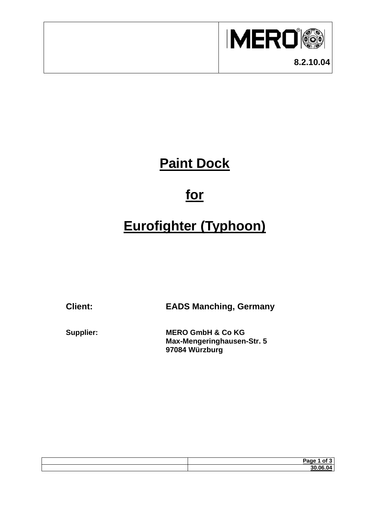

## **Paint Dock**

## **for**

# **Eurofighter (Typhoon)**

**Client: EADS Manching, Germany** 

**Supplier: MERO GmbH & Co KG Max-Mengeringhausen-Str. 5 97084 Würzburg** 

| <b>Doma</b><br>. הבי |
|----------------------|
| n C                  |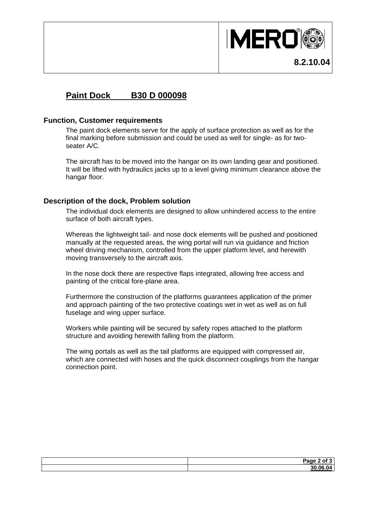

### **Paint Dock B30 D 000098**

#### **Function, Customer requirements**

The paint dock elements serve for the apply of surface protection as well as for the final marking before submission and could be used as well for single- as for twoseater A/C.

The aircraft has to be moved into the hangar on its own landing gear and positioned. It will be lifted with hydraulics jacks up to a level giving minimum clearance above the hangar floor.

### **Description of the dock, Problem solution**

The individual dock elements are designed to allow unhindered access to the entire surface of both aircraft types.

Whereas the lightweight tail- and nose dock elements will be pushed and positioned manually at the requested areas, the wing portal will run via guidance and friction wheel driving mechanism, controlled from the upper platform level, and herewith moving transversely to the aircraft axis.

In the nose dock there are respective flaps integrated, allowing free access and painting of the critical fore-plane area.

Furthermore the construction of the platforms guarantees application of the primer and approach painting of the two protective coatings wet in wet as well as on full fuselage and wing upper surface.

Workers while painting will be secured by safety ropes attached to the platform structure and avoiding herewith falling from the platform.

The wing portals as well as the tail platforms are equipped with compressed air, which are connected with hoses and the quick disconnect couplings from the hangar connection point.

| $Page \angle$<br>יה<br>- - |
|----------------------------|
| າ ລດ ດຂ<br>. UV            |